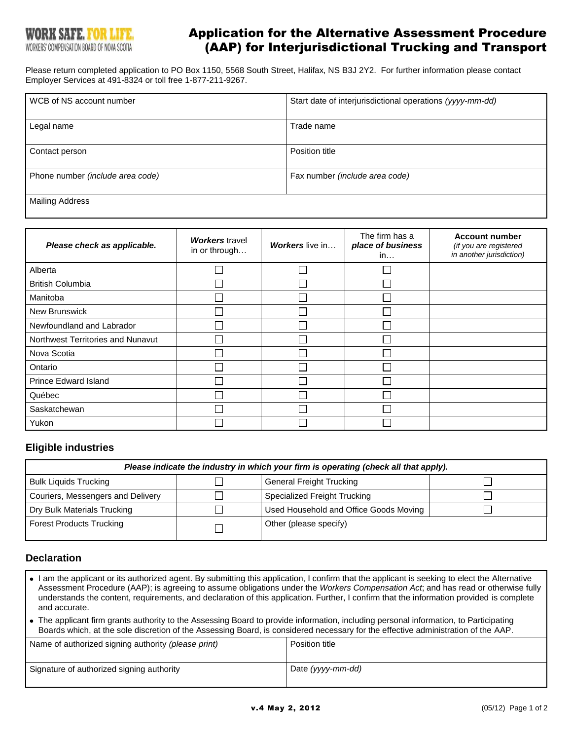# Application for the Alternative Assessment Procedure (AAP) for Interjurisdictional Trucking and Transport

Please return completed application to PO Box 1150, 5568 South Street, Halifax, NS B3J 2Y2. For further information please contact Employer Services at 491-8324 or toll free 1-877-211-9267.

| WCB of NS account number         | Start date of interjurisdictional operations (yyyy-mm-dd) |
|----------------------------------|-----------------------------------------------------------|
| Legal name                       | Trade name                                                |
| Contact person                   | Position title                                            |
| Phone number (include area code) | Fax number (include area code)                            |
| Mailing Address                  |                                                           |

| Please check as applicable.       | <b>Workers</b> travel<br>in or through | <b>Workers</b> live in | The firm has a<br>place of business<br>in | <b>Account number</b><br>(if you are registered<br>in another jurisdiction) |
|-----------------------------------|----------------------------------------|------------------------|-------------------------------------------|-----------------------------------------------------------------------------|
| Alberta                           |                                        |                        |                                           |                                                                             |
| <b>British Columbia</b>           |                                        |                        |                                           |                                                                             |
| Manitoba                          |                                        |                        |                                           |                                                                             |
| <b>New Brunswick</b>              |                                        |                        |                                           |                                                                             |
| Newfoundland and Labrador         |                                        |                        |                                           |                                                                             |
| Northwest Territories and Nunavut |                                        |                        |                                           |                                                                             |
| Nova Scotia                       |                                        |                        |                                           |                                                                             |
| Ontario                           |                                        |                        |                                           |                                                                             |
| <b>Prince Edward Island</b>       |                                        |                        |                                           |                                                                             |
| Québec                            |                                        |                        |                                           |                                                                             |
| Saskatchewan                      |                                        |                        |                                           |                                                                             |
| Yukon                             |                                        |                        |                                           |                                                                             |

## **Eligible industries**

| Please indicate the industry in which your firm is operating (check all that apply). |  |                                        |  |  |
|--------------------------------------------------------------------------------------|--|----------------------------------------|--|--|
| <b>Bulk Liquids Trucking</b>                                                         |  | <b>General Freight Trucking</b>        |  |  |
| Couriers, Messengers and Delivery                                                    |  | Specialized Freight Trucking           |  |  |
| Dry Bulk Materials Trucking                                                          |  | Used Household and Office Goods Moving |  |  |
| <b>Forest Products Trucking</b>                                                      |  | Other (please specify)                 |  |  |

#### **Declaration**

- I am the applicant or its authorized agent. By submitting this application, I confirm that the applicant is seeking to elect the Alternative Assessment Procedure (AAP); is agreeing to assume obligations under the *Workers Compensation Act*; and has read or otherwise fully understands the content, requirements, and declaration of this application. Further, I confirm that the information provided is complete and accurate.
- The applicant firm grants authority to the Assessing Board to provide information, including personal information, to Participating  $\bullet$ Boards which, at the sole discretion of the Assessing Board, is considered necessary for the effective administration of the AAP.

| Name of authorized signing authority (please print) | Position title    |
|-----------------------------------------------------|-------------------|
| Signature of authorized signing authority           | Date (yyyy-mm-dd) |